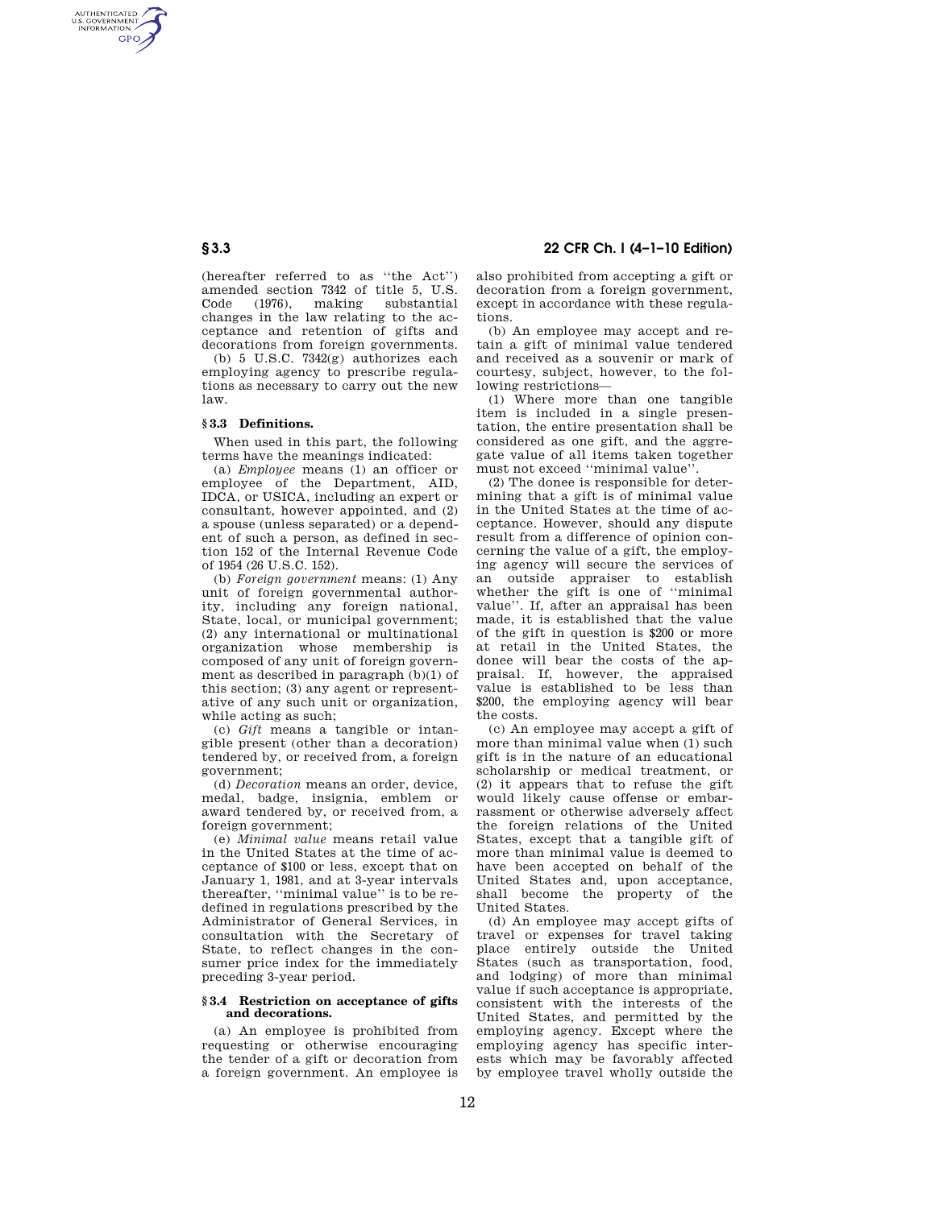AUTHENTICATED<br>U.S. GOVERNMENT<br>INFORMATION **GPO** 

> (hereafter referred to as ''the Act'') amended section 7342 of title 5, U.S. Code (1976), making substantial changes in the law relating to the acceptance and retention of gifts and decorations from foreign governments.

> (b) 5 U.S.C. 7342(g) authorizes each employing agency to prescribe regulations as necessary to carry out the new law.

## **§ 3.3 Definitions.**

When used in this part, the following terms have the meanings indicated:

(a) *Employee* means (1) an officer or employee of the Department, AID, IDCA, or USICA, including an expert or consultant, however appointed, and (2) a spouse (unless separated) or a dependent of such a person, as defined in section 152 of the Internal Revenue Code of 1954 (26 U.S.C. 152).

(b) *Foreign government* means: (1) Any unit of foreign governmental authority, including any foreign national, State, local, or municipal government; (2) any international or multinational organization whose membership is composed of any unit of foreign government as described in paragraph (b)(1) of this section; (3) any agent or representative of any such unit or organization, while acting as such;

(c) *Gift* means a tangible or intangible present (other than a decoration) tendered by, or received from, a foreign government;

(d) *Decoration* means an order, device, medal, badge, insignia, emblem or award tendered by, or received from, a foreign government;

(e) *Minimal value* means retail value in the United States at the time of acceptance of \$100 or less, except that on January 1, 1981, and at 3-year intervals thereafter, ''minimal value'' is to be redefined in regulations prescribed by the Administrator of General Services, in consultation with the Secretary of State, to reflect changes in the consumer price index for the immediately preceding 3-year period.

#### **§ 3.4 Restriction on acceptance of gifts and decorations.**

(a) An employee is prohibited from requesting or otherwise encouraging the tender of a gift or decoration from a foreign government. An employee is

# **§ 3.3 22 CFR Ch. I (4–1–10 Edition)**

also prohibited from accepting a gift or decoration from a foreign government, except in accordance with these regulations.

(b) An employee may accept and retain a gift of minimal value tendered and received as a souvenir or mark of courtesy, subject, however, to the following restrictions—

(1) Where more than one tangible item is included in a single presentation, the entire presentation shall be considered as one gift, and the aggregate value of all items taken together must not exceed ''minimal value''.

(2) The donee is responsible for determining that a gift is of minimal value in the United States at the time of acceptance. However, should any dispute result from a difference of opinion concerning the value of a gift, the employing agency will secure the services of an outside appraiser to establish whether the gift is one of ''minimal value''. If, after an appraisal has been made, it is established that the value of the gift in question is \$200 or more at retail in the United States, the donee will bear the costs of the appraisal. If, however, the appraised value is established to be less than \$200, the employing agency will bear the costs.

(c) An employee may accept a gift of more than minimal value when (1) such gift is in the nature of an educational scholarship or medical treatment, or (2) it appears that to refuse the gift would likely cause offense or embarrassment or otherwise adversely affect the foreign relations of the United States, except that a tangible gift of more than minimal value is deemed to have been accepted on behalf of the United States and, upon acceptance, shall become the property of the United States.

(d) An employee may accept gifts of travel or expenses for travel taking place entirely outside the United States (such as transportation, food, and lodging) of more than minimal value if such acceptance is appropriate, consistent with the interests of the United States, and permitted by the employing agency. Except where the employing agency has specific interests which may be favorably affected by employee travel wholly outside the